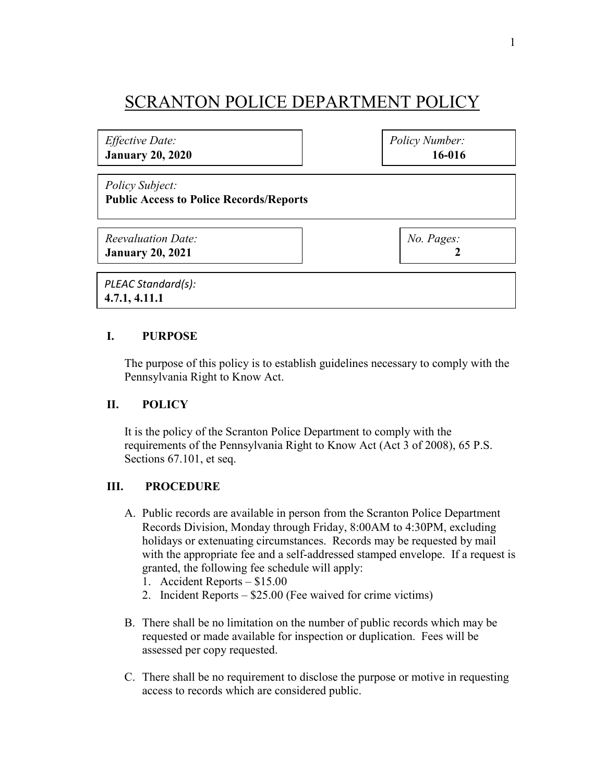## SCRANTON POLICE DEPARTMENT POLICY

*Effective Date:* **January 20, 2020** *Policy Number:* **16-016**

*Policy Subject:* **Public Access to Police Records/Reports**

*Reevaluation Date:* **January 20, 2021**

*No. Pages:*  **2**

*PLEAC Standard(s):* **4.7.1, 4.11.1**

## **I. PURPOSE**

The purpose of this policy is to establish guidelines necessary to comply with the Pennsylvania Right to Know Act.

## **II. POLICY**

It is the policy of the Scranton Police Department to comply with the requirements of the Pennsylvania Right to Know Act (Act 3 of 2008), 65 P.S. Sections 67.101, et seq.

## **III. PROCEDURE**

- A. Public records are available in person from the Scranton Police Department Records Division, Monday through Friday, 8:00AM to 4:30PM, excluding holidays or extenuating circumstances. Records may be requested by mail with the appropriate fee and a self-addressed stamped envelope. If a request is granted, the following fee schedule will apply:
	- 1. Accident Reports \$15.00
	- 2. Incident Reports \$25.00 (Fee waived for crime victims)
- B. There shall be no limitation on the number of public records which may be requested or made available for inspection or duplication. Fees will be assessed per copy requested.
- C. There shall be no requirement to disclose the purpose or motive in requesting access to records which are considered public.